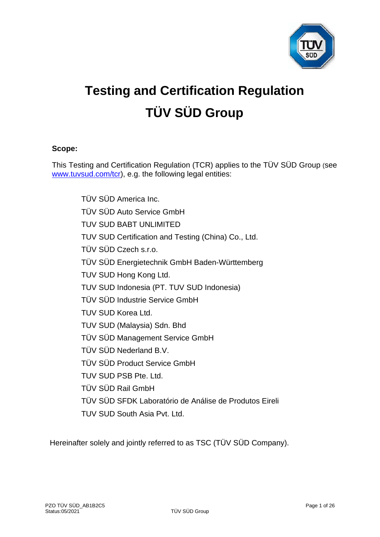

# **Testing and Certification Regulation TÜV SÜD Group**

# **Scope:**

This Testing and Certification Regulation (TCR) applies to the TÜV SÜD Group (see [www.tuvsud.com/tcr\)](http://www.tuvsud.com/tcr), e.g. the following legal entities:

> TÜV SÜD America Inc. TÜV SÜD Auto Service GmbH TUV SUD BABT UNLIMITED TUV SUD Certification and Testing (China) Co., Ltd. TÜV SÜD Czech s.r.o. TÜV SÜD Energietechnik GmbH Baden-Württemberg TUV SUD Hong Kong Ltd. TUV SUD Indonesia (PT. TUV SUD Indonesia) TÜV SÜD Industrie Service GmbH TUV SUD Korea Ltd. TUV SUD (Malaysia) Sdn. Bhd TÜV SÜD Management Service GmbH TÜV SÜD Nederland B.V. TÜV SÜD Product Service GmbH TUV SUD PSB Pte. Ltd. TÜV SÜD Rail GmbH TÜV SÜD SFDK Laboratório de Análise de Produtos Eireli TUV SUD South Asia Pvt. Ltd.

Hereinafter solely and jointly referred to as TSC (TÜV SÜD Company).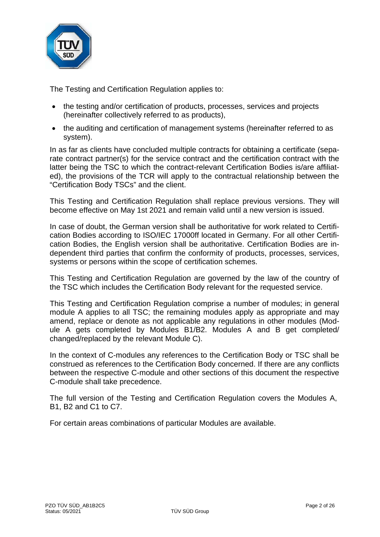

The Testing and Certification Regulation applies to:

- the testing and/or certification of products, processes, services and projects (hereinafter collectively referred to as products),
- the auditing and certification of management systems (hereinafter referred to as system).

In as far as clients have concluded multiple contracts for obtaining a certificate (separate contract partner(s) for the service contract and the certification contract with the latter being the TSC to which the contract-relevant Certification Bodies is/are affiliated), the provisions of the TCR will apply to the contractual relationship between the "Certification Body TSCs" and the client.

This Testing and Certification Regulation shall replace previous versions. They will become effective on May 1st 2021 and remain valid until a new version is issued.

In case of doubt, the German version shall be authoritative for work related to Certification Bodies according to ISO/IEC 17000ff located in Germany. For all other Certification Bodies, the English version shall be authoritative. Certification Bodies are independent third parties that confirm the conformity of products, processes, services, systems or persons within the scope of certification schemes.

This Testing and Certification Regulation are governed by the law of the country of the TSC which includes the Certification Body relevant for the requested service.

This Testing and Certification Regulation comprise a number of modules; in general module A applies to all TSC; the remaining modules apply as appropriate and may amend, replace or denote as not applicable any regulations in other modules (Module A gets completed by Modules B1/B2. Modules A and B get completed/ changed/replaced by the relevant Module C).

In the context of C-modules any references to the Certification Body or TSC shall be construed as references to the Certification Body concerned. If there are any conflicts between the respective C-module and other sections of this document the respective C-module shall take precedence.

The full version of the Testing and Certification Regulation covers the Modules A, B1, B2 and C1 to C7.

For certain areas combinations of particular Modules are available.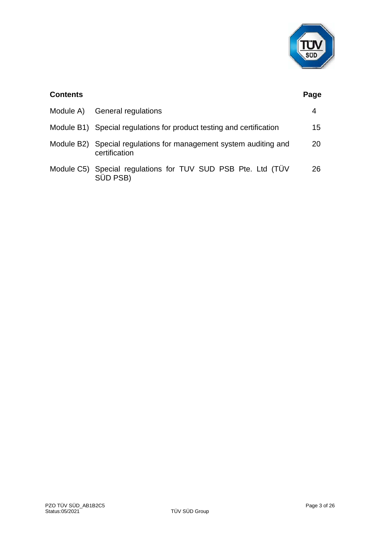

| <b>Contents</b> |                                                                                    | Page |
|-----------------|------------------------------------------------------------------------------------|------|
| Module A)       | <b>General regulations</b>                                                         | 4    |
|                 | Module B1) Special regulations for product testing and certification               | 15   |
|                 | Module B2) Special regulations for management system auditing and<br>certification | 20   |
|                 | Module C5) Special regulations for TUV SUD PSB Pte. Ltd (TÜV<br>SUD PSB)           | 26   |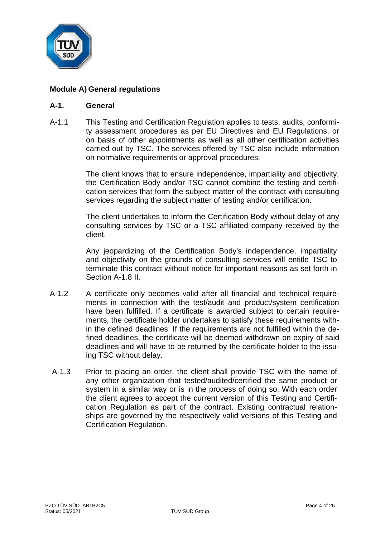

# **Module A) General regulations**

## **A-1. General**

A-1.1 This Testing and Certification Regulation applies to tests, audits, conformity assessment procedures as per EU Directives and EU Regulations, or on basis of other appointments as well as all other certification activities carried out by TSC. The services offered by TSC also include information on normative requirements or approval procedures.

> The client knows that to ensure independence, impartiality and objectivity, the Certification Body and/or TSC cannot combine the testing and certification services that form the subject matter of the contract with consulting services regarding the subject matter of testing and/or certification.

> The client undertakes to inform the Certification Body without delay of any consulting services by TSC or a TSC affiliated company received by the client.

> Any jeopardizing of the Certification Body's independence, impartiality and objectivity on the grounds of consulting services will entitle TSC to terminate this contract without notice for important reasons as set forth in Section A-1.8 II.

- A-1.2 A certificate only becomes valid after all financial and technical requirements in connection with the test/audit and product/system certification have been fulfilled. If a certificate is awarded subject to certain requirements, the certificate holder undertakes to satisfy these requirements within the defined deadlines. If the requirements are not fulfilled within the defined deadlines, the certificate will be deemed withdrawn on expiry of said deadlines and will have to be returned by the certificate holder to the issuing TSC without delay.
- A-1.3 Prior to placing an order, the client shall provide TSC with the name of any other organization that tested/audited/certified the same product or system in a similar way or is in the process of doing so. With each order the client agrees to accept the current version of this Testing and Certification Regulation as part of the contract. Existing contractual relationships are governed by the respectively valid versions of this Testing and Certification Regulation.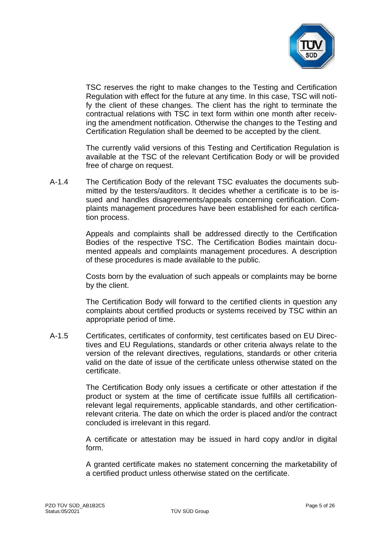

TSC reserves the right to make changes to the Testing and Certification Regulation with effect for the future at any time. In this case, TSC will notify the client of these changes. The client has the right to terminate the contractual relations with TSC in text form within one month after receiving the amendment notification. Otherwise the changes to the Testing and Certification Regulation shall be deemed to be accepted by the client.

The currently valid versions of this Testing and Certification Regulation is available at the TSC of the relevant Certification Body or will be provided free of charge on request.

A-1.4 The Certification Body of the relevant TSC evaluates the documents submitted by the testers/auditors. It decides whether a certificate is to be issued and handles disagreements/appeals concerning certification. Complaints management procedures have been established for each certification process.

> Appeals and complaints shall be addressed directly to the Certification Bodies of the respective TSC. The Certification Bodies maintain documented appeals and complaints management procedures. A description of these procedures is made available to the public.

> Costs born by the evaluation of such appeals or complaints may be borne by the client.

> The Certification Body will forward to the certified clients in question any complaints about certified products or systems received by TSC within an appropriate period of time.

A-1.5 Certificates, certificates of conformity, test certificates based on EU Directives and EU Regulations, standards or other criteria always relate to the version of the relevant directives, regulations, standards or other criteria valid on the date of issue of the certificate unless otherwise stated on the certificate.

> The Certification Body only issues a certificate or other attestation if the product or system at the time of certificate issue fulfills all certificationrelevant legal requirements, applicable standards, and other certificationrelevant criteria. The date on which the order is placed and/or the contract concluded is irrelevant in this regard.

> A certificate or attestation may be issued in hard copy and/or in digital form.

> A granted certificate makes no statement concerning the marketability of a certified product unless otherwise stated on the certificate.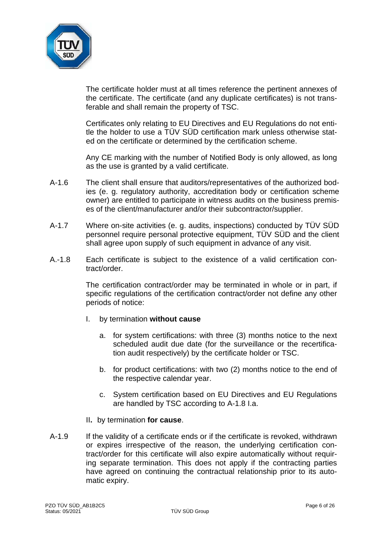

The certificate holder must at all times reference the pertinent annexes of the certificate. The certificate (and any duplicate certificates) is not transferable and shall remain the property of TSC.

Certificates only relating to EU Directives and EU Regulations do not entitle the holder to use a TÜV SÜD certification mark unless otherwise stated on the certificate or determined by the certification scheme.

Any CE marking with the number of Notified Body is only allowed, as long as the use is granted by a valid certificate.

- A-1.6 The client shall ensure that auditors/representatives of the authorized bodies (e. g. regulatory authority, accreditation body or certification scheme owner) are entitled to participate in witness audits on the business premises of the client/manufacturer and/or their subcontractor/supplier.
- A-1.7 Where on-site activities (e. g. audits, inspections) conducted by TÜV SÜD personnel require personal protective equipment, TÜV SÜD and the client shall agree upon supply of such equipment in advance of any visit.
- A.-1.8 Each certificate is subject to the existence of a valid certification contract/order.

The certification contract/order may be terminated in whole or in part, if specific regulations of the certification contract/order not define any other periods of notice:

- I. by termination **without cause**
	- a. for system certifications: with three (3) months notice to the next scheduled audit due date (for the surveillance or the recertification audit respectively) by the certificate holder or TSC.
	- b. for product certifications: with two (2) months notice to the end of the respective calendar year.
	- c. System certification based on EU Directives and EU Regulations are handled by TSC according to A-1.8 I.a.
- II**.** by termination **for cause**.
- A-1.9 If the validity of a certificate ends or if the certificate is revoked, withdrawn or expires irrespective of the reason, the underlying certification contract/order for this certificate will also expire automatically without requiring separate termination. This does not apply if the contracting parties have agreed on continuing the contractual relationship prior to its automatic expiry.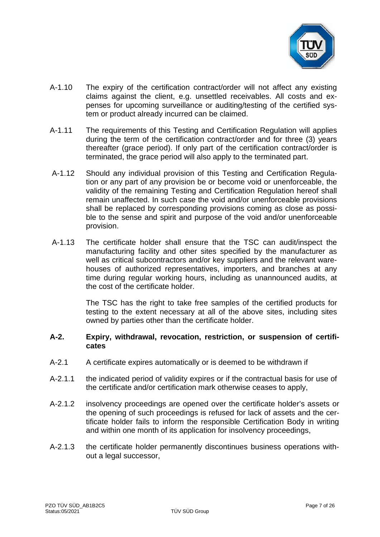

- A-1.10 The expiry of the certification contract/order will not affect any existing claims against the client, e.g. unsettled receivables. All costs and expenses for upcoming surveillance or auditing/testing of the certified system or product already incurred can be claimed.
- A-1.11 The requirements of this Testing and Certification Regulation will applies during the term of the certification contract/order and for three (3) years thereafter (grace period). If only part of the certification contract/order is terminated, the grace period will also apply to the terminated part.
- A-1.12 Should any individual provision of this Testing and Certification Regulation or any part of any provision be or become void or unenforceable, the validity of the remaining Testing and Certification Regulation hereof shall remain unaffected. In such case the void and/or unenforceable provisions shall be replaced by corresponding provisions coming as close as possible to the sense and spirit and purpose of the void and/or unenforceable provision.
- A-1.13 The certificate holder shall ensure that the TSC can audit/inspect the manufacturing facility and other sites specified by the manufacturer as well as critical subcontractors and/or key suppliers and the relevant warehouses of authorized representatives, importers, and branches at any time during regular working hours, including as unannounced audits, at the cost of the certificate holder.

The TSC has the right to take free samples of the certified products for testing to the extent necessary at all of the above sites, including sites owned by parties other than the certificate holder.

## **A-2. Expiry, withdrawal, revocation, restriction, or suspension of certificates**

- A-2.1 A certificate expires automatically or is deemed to be withdrawn if
- A-2.1.1 the indicated period of validity expires or if the contractual basis for use of the certificate and/or certification mark otherwise ceases to apply,
- A-2.1.2 insolvency proceedings are opened over the certificate holder's assets or the opening of such proceedings is refused for lack of assets and the certificate holder fails to inform the responsible Certification Body in writing and within one month of its application for insolvency proceedings,
- A-2.1.3 the certificate holder permanently discontinues business operations without a legal successor,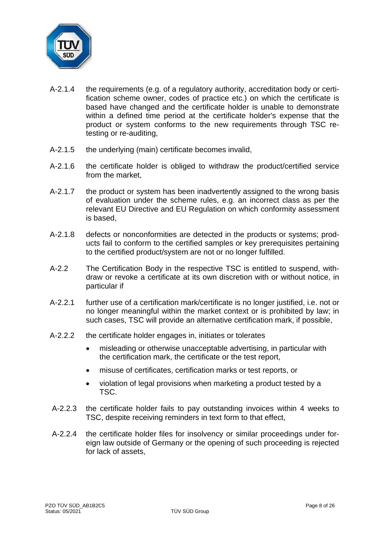

- A-2.1.4 the requirements (e.g. of a regulatory authority, accreditation body or certification scheme owner, codes of practice etc.) on which the certificate is based have changed and the certificate holder is unable to demonstrate within a defined time period at the certificate holder's expense that the product or system conforms to the new requirements through TSC retesting or re-auditing,
- A-2.1.5 the underlying (main) certificate becomes invalid,
- A-2.1.6 the certificate holder is obliged to withdraw the product/certified service from the market,
- A-2.1.7 the product or system has been inadvertently assigned to the wrong basis of evaluation under the scheme rules, e.g. an incorrect class as per the relevant EU Directive and EU Regulation on which conformity assessment is based,
- A-2.1.8 defects or nonconformities are detected in the products or systems; products fail to conform to the certified samples or key prerequisites pertaining to the certified product/system are not or no longer fulfilled.
- A-2.2 The Certification Body in the respective TSC is entitled to suspend, withdraw or revoke a certificate at its own discretion with or without notice, in particular if
- A-2.2.1 further use of a certification mark/certificate is no longer justified, i.e. not or no longer meaningful within the market context or is prohibited by law; in such cases, TSC will provide an alternative certification mark, if possible,
- A-2.2.2 the certificate holder engages in, initiates or tolerates
	- misleading or otherwise unacceptable advertising, in particular with the certification mark, the certificate or the test report,
	- misuse of certificates, certification marks or test reports, or
	- violation of legal provisions when marketing a product tested by a TSC.
- A-2.2.3 the certificate holder fails to pay outstanding invoices within 4 weeks to TSC, despite receiving reminders in text form to that effect,
- A-2.2.4 the certificate holder files for insolvency or similar proceedings under foreign law outside of Germany or the opening of such proceeding is rejected for lack of assets,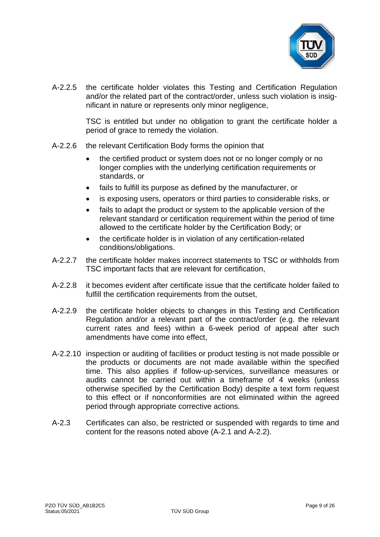

A-2.2.5 the certificate holder violates this Testing and Certification Regulation and/or the related part of the contract/order, unless such violation is insignificant in nature or represents only minor negligence,

> TSC is entitled but under no obligation to grant the certificate holder a period of grace to remedy the violation.

- A-2.2.6 the relevant Certification Body forms the opinion that
	- the certified product or system does not or no longer comply or no longer complies with the underlying certification requirements or standards, or
	- fails to fulfill its purpose as defined by the manufacturer, or
	- is exposing users, operators or third parties to considerable risks, or
	- fails to adapt the product or system to the applicable version of the relevant standard or certification requirement within the period of time allowed to the certificate holder by the Certification Body; or
	- the certificate holder is in violation of any certification-related conditions/obligations.
- A-2.2.7 the certificate holder makes incorrect statements to TSC or withholds from TSC important facts that are relevant for certification,
- A-2.2.8 it becomes evident after certificate issue that the certificate holder failed to fulfill the certification requirements from the outset,
- A-2.2.9 the certificate holder objects to changes in this Testing and Certification Regulation and/or a relevant part of the contract/order (e.g. the relevant current rates and fees) within a 6-week period of appeal after such amendments have come into effect,
- A-2.2.10 inspection or auditing of facilities or product testing is not made possible or the products or documents are not made available within the specified time. This also applies if follow-up-services, surveillance measures or audits cannot be carried out within a timeframe of 4 weeks (unless otherwise specified by the Certification Body) despite a text form request to this effect or if nonconformities are not eliminated within the agreed period through appropriate corrective actions.
- A-2.3 Certificates can also, be restricted or suspended with regards to time and content for the reasons noted above (A-2.1 and A-2.2).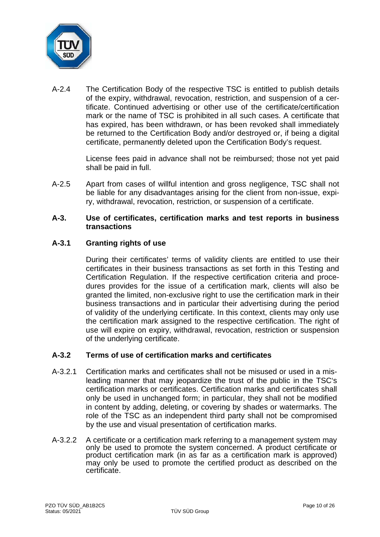

A-2.4 The Certification Body of the respective TSC is entitled to publish details of the expiry, withdrawal, revocation, restriction, and suspension of a certificate. Continued advertising or other use of the certificate/certification mark or the name of TSC is prohibited in all such cases. A certificate that has expired, has been withdrawn, or has been revoked shall immediately be returned to the Certification Body and/or destroyed or, if being a digital certificate, permanently deleted upon the Certification Body's request.

> License fees paid in advance shall not be reimbursed; those not yet paid shall be paid in full.

A-2.5 Apart from cases of willful intention and gross negligence, TSC shall not be liable for any disadvantages arising for the client from non-issue, expiry, withdrawal, revocation, restriction, or suspension of a certificate.

## **A-3. Use of certificates, certification marks and test reports in business transactions**

# **A-3.1 Granting rights of use**

During their certificates' terms of validity clients are entitled to use their certificates in their business transactions as set forth in this Testing and Certification Regulation. If the respective certification criteria and procedures provides for the issue of a certification mark, clients will also be granted the limited, non-exclusive right to use the certification mark in their business transactions and in particular their advertising during the period of validity of the underlying certificate. In this context, clients may only use the certification mark assigned to the respective certification. The right of use will expire on expiry, withdrawal, revocation, restriction or suspension of the underlying certificate.

# **A-3.2 Terms of use of certification marks and certificates**

- A-3.2.1 Certification marks and certificates shall not be misused or used in a misleading manner that may jeopardize the trust of the public in the TSC's certification marks or certificates. Certification marks and certificates shall only be used in unchanged form; in particular, they shall not be modified in content by adding, deleting, or covering by shades or watermarks. The role of the TSC as an independent third party shall not be compromised by the use and visual presentation of certification marks.
- A-3.2.2 A certificate or a certification mark referring to a management system may only be used to promote the system concerned. A product certificate or product certification mark (in as far as a certification mark is approved) may only be used to promote the certified product as described on the certificate.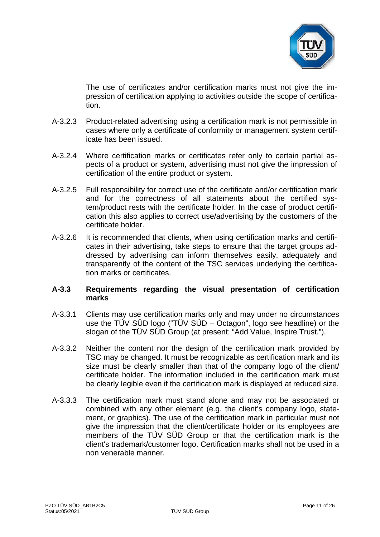

The use of certificates and/or certification marks must not give the impression of certification applying to activities outside the scope of certification.

- A-3.2.3 Product-related advertising using a certification mark is not permissible in cases where only a certificate of conformity or management system certificate has been issued.
- A-3.2.4 Where certification marks or certificates refer only to certain partial aspects of a product or system, advertising must not give the impression of certification of the entire product or system.
- A-3.2.5 Full responsibility for correct use of the certificate and/or certification mark and for the correctness of all statements about the certified system/product rests with the certificate holder. In the case of product certification this also applies to correct use/advertising by the customers of the certificate holder.
- A-3.2.6 It is recommended that clients, when using certification marks and certificates in their advertising, take steps to ensure that the target groups addressed by advertising can inform themselves easily, adequately and transparently of the content of the TSC services underlying the certification marks or certificates.

# **A-3.3 Requirements regarding the visual presentation of certification marks**

- A-3.3.1 Clients may use certification marks only and may under no circumstances use the TÜV SÜD logo ("TÜV SÜD – Octagon", logo see headline) or the slogan of the TÜV SÜD Group (at present: "Add Value, Inspire Trust.").
- A-3.3.2 Neither the content nor the design of the certification mark provided by TSC may be changed. It must be recognizable as certification mark and its size must be clearly smaller than that of the company logo of the client/ certificate holder. The information included in the certification mark must be clearly legible even if the certification mark is displayed at reduced size.
- A-3.3.3 The certification mark must stand alone and may not be associated or combined with any other element (e.g. the client's company logo, statement, or graphics). The use of the certification mark in particular must not give the impression that the client/certificate holder or its employees are members of the TÜV SÜD Group or that the certification mark is the client's trademark/customer logo. Certification marks shall not be used in a non venerable manner.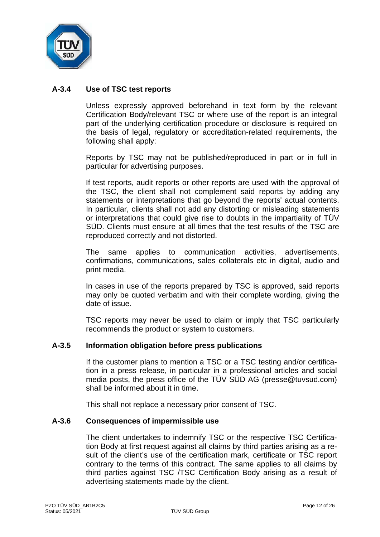

# **A-3.4 Use of TSC test reports**

Unless expressly approved beforehand in text form by the relevant Certification Body/relevant TSC or where use of the report is an integral part of the underlying certification procedure or disclosure is required on the basis of legal, regulatory or accreditation-related requirements, the following shall apply:

Reports by TSC may not be published/reproduced in part or in full in particular for advertising purposes.

If test reports, audit reports or other reports are used with the approval of the TSC, the client shall not complement said reports by adding any statements or interpretations that go beyond the reports' actual contents. In particular, clients shall not add any distorting or misleading statements or interpretations that could give rise to doubts in the impartiality of TÜV SÜD. Clients must ensure at all times that the test results of the TSC are reproduced correctly and not distorted.

The same applies to communication activities, advertisements, confirmations, communications, sales collaterals etc in digital, audio and print media.

In cases in use of the reports prepared by TSC is approved, said reports may only be quoted verbatim and with their complete wording, giving the date of issue.

TSC reports may never be used to claim or imply that TSC particularly recommends the product or system to customers.

### **A-3.5 Information obligation before press publications**

If the customer plans to mention a TSC or a TSC testing and/or certification in a press release, in particular in a professional articles and social media posts, the press office of the TÜV SÜD AG (presse@tuvsud.com) shall be informed about it in time.

This shall not replace a necessary prior consent of TSC.

### **A-3.6 Consequences of impermissible use**

The client undertakes to indemnify TSC or the respective TSC Certification Body at first request against all claims by third parties arising as a result of the client's use of the certification mark, certificate or TSC report contrary to the terms of this contract. The same applies to all claims by third parties against TSC /TSC Certification Body arising as a result of advertising statements made by the client.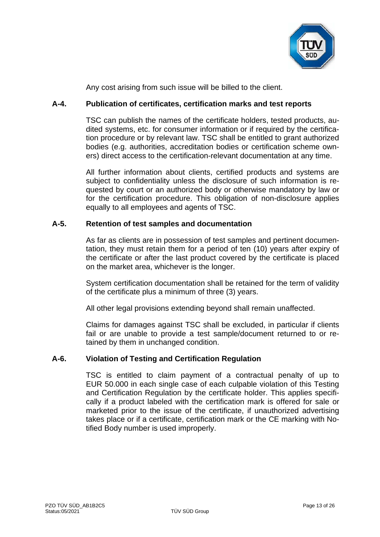

Any cost arising from such issue will be billed to the client.

# **A-4. Publication of certificates, certification marks and test reports**

TSC can publish the names of the certificate holders, tested products, audited systems, etc. for consumer information or if required by the certification procedure or by relevant law. TSC shall be entitled to grant authorized bodies (e.g. authorities, accreditation bodies or certification scheme owners) direct access to the certification-relevant documentation at any time.

All further information about clients, certified products and systems are subject to confidentiality unless the disclosure of such information is requested by court or an authorized body or otherwise mandatory by law or for the certification procedure. This obligation of non-disclosure applies equally to all employees and agents of TSC.

## **A-5. Retention of test samples and documentation**

As far as clients are in possession of test samples and pertinent documentation, they must retain them for a period of ten (10) years after expiry of the certificate or after the last product covered by the certificate is placed on the market area, whichever is the longer.

System certification documentation shall be retained for the term of validity of the certificate plus a minimum of three (3) years.

All other legal provisions extending beyond shall remain unaffected.

Claims for damages against TSC shall be excluded, in particular if clients fail or are unable to provide a test sample/document returned to or retained by them in unchanged condition.

### **A-6. Violation of Testing and Certification Regulation**

TSC is entitled to claim payment of a contractual penalty of up to EUR 50.000 in each single case of each culpable violation of this Testing and Certification Regulation by the certificate holder. This applies specifically if a product labeled with the certification mark is offered for sale or marketed prior to the issue of the certificate, if unauthorized advertising takes place or if a certificate, certification mark or the CE marking with Notified Body number is used improperly.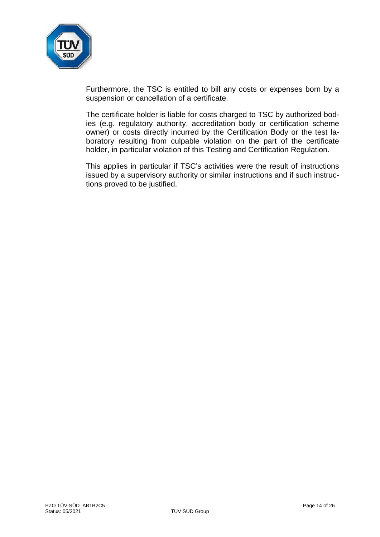

Furthermore, the TSC is entitled to bill any costs or expenses born by a suspension or cancellation of a certificate.

The certificate holder is liable for costs charged to TSC by authorized bodies (e.g. regulatory authority, accreditation body or certification scheme owner) or costs directly incurred by the Certification Body or the test laboratory resulting from culpable violation on the part of the certificate holder, in particular violation of this Testing and Certification Regulation.

This applies in particular if TSC's activities were the result of instructions issued by a supervisory authority or similar instructions and if such instructions proved to be justified.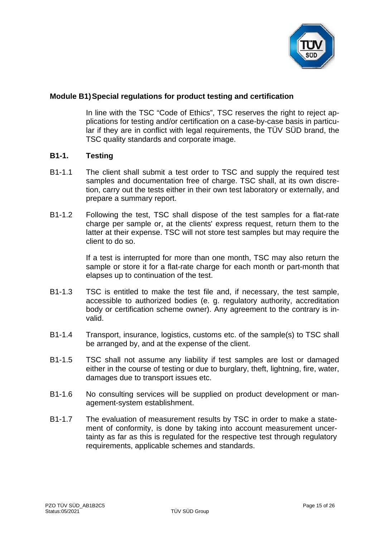

# **Module B1)Special regulations for product testing and certification**

In line with the TSC "Code of Ethics", TSC reserves the right to reject applications for testing and/or certification on a case-by-case basis in particular if they are in conflict with legal requirements, the TÜV SÜD brand, the TSC quality standards and corporate image.

## **B1-1. Testing**

- B1-1.1 The client shall submit a test order to TSC and supply the required test samples and documentation free of charge. TSC shall, at its own discretion, carry out the tests either in their own test laboratory or externally, and prepare a summary report.
- B1-1.2 Following the test, TSC shall dispose of the test samples for a flat-rate charge per sample or, at the clients' express request, return them to the latter at their expense. TSC will not store test samples but may require the client to do so.

If a test is interrupted for more than one month, TSC may also return the sample or store it for a flat-rate charge for each month or part-month that elapses up to continuation of the test.

- B1-1.3 TSC is entitled to make the test file and, if necessary, the test sample, accessible to authorized bodies (e. g. regulatory authority, accreditation body or certification scheme owner). Any agreement to the contrary is invalid.
- B1-1.4 Transport, insurance, logistics, customs etc. of the sample(s) to TSC shall be arranged by, and at the expense of the client.
- B1-1.5 TSC shall not assume any liability if test samples are lost or damaged either in the course of testing or due to burglary, theft, lightning, fire, water, damages due to transport issues etc.
- B1-1.6 No consulting services will be supplied on product development or management-system establishment.
- B1-1.7 The evaluation of measurement results by TSC in order to make a statement of conformity, is done by taking into account measurement uncertainty as far as this is regulated for the respective test through regulatory requirements, applicable schemes and standards.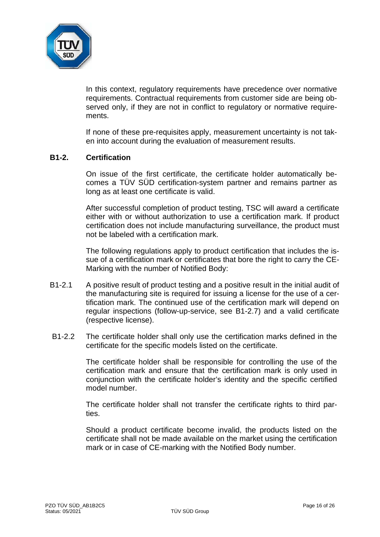

In this context, regulatory requirements have precedence over normative requirements. Contractual requirements from customer side are being observed only, if they are not in conflict to regulatory or normative requirements.

If none of these pre-requisites apply, measurement uncertainty is not taken into account during the evaluation of measurement results.

# **B1-2. Certification**

On issue of the first certificate, the certificate holder automatically becomes a TÜV SÜD certification-system partner and remains partner as long as at least one certificate is valid.

After successful completion of product testing, TSC will award a certificate either with or without authorization to use a certification mark. If product certification does not include manufacturing surveillance, the product must not be labeled with a certification mark.

The following regulations apply to product certification that includes the issue of a certification mark or certificates that bore the right to carry the CE-Marking with the number of Notified Body:

- B1-2.1 A positive result of product testing and a positive result in the initial audit of the manufacturing site is required for issuing a license for the use of a certification mark. The continued use of the certification mark will depend on regular inspections (follow-up-service, see B1-2.7) and a valid certificate (respective license).
- B1-2.2 The certificate holder shall only use the certification marks defined in the certificate for the specific models listed on the certificate.

The certificate holder shall be responsible for controlling the use of the certification mark and ensure that the certification mark is only used in conjunction with the certificate holder's identity and the specific certified model number.

The certificate holder shall not transfer the certificate rights to third parties.

Should a product certificate become invalid, the products listed on the certificate shall not be made available on the market using the certification mark or in case of CE-marking with the Notified Body number.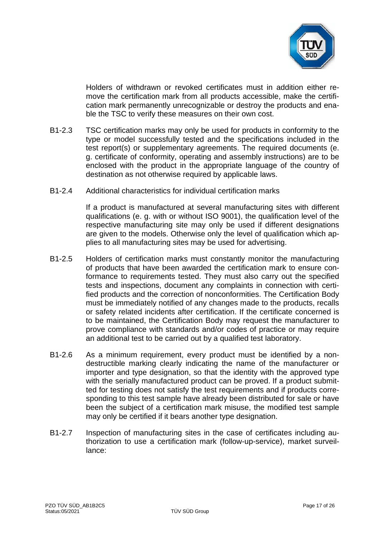

Holders of withdrawn or revoked certificates must in addition either remove the certification mark from all products accessible, make the certification mark permanently unrecognizable or destroy the products and enable the TSC to verify these measures on their own cost.

- B1-2.3 TSC certification marks may only be used for products in conformity to the type or model successfully tested and the specifications included in the test report(s) or supplementary agreements. The required documents (e. g. certificate of conformity, operating and assembly instructions) are to be enclosed with the product in the appropriate language of the country of destination as not otherwise required by applicable laws.
- B1-2.4 Additional characteristics for individual certification marks

If a product is manufactured at several manufacturing sites with different qualifications (e. g. with or without ISO 9001), the qualification level of the respective manufacturing site may only be used if different designations are given to the models. Otherwise only the level of qualification which applies to all manufacturing sites may be used for advertising.

- B1-2.5 Holders of certification marks must constantly monitor the manufacturing of products that have been awarded the certification mark to ensure conformance to requirements tested. They must also carry out the specified tests and inspections, document any complaints in connection with certified products and the correction of nonconformities. The Certification Body must be immediately notified of any changes made to the products, recalls or safety related incidents after certification. If the certificate concerned is to be maintained, the Certification Body may request the manufacturer to prove compliance with standards and/or codes of practice or may require an additional test to be carried out by a qualified test laboratory.
- B1-2.6 As a minimum requirement, every product must be identified by a nondestructible marking clearly indicating the name of the manufacturer or importer and type designation, so that the identity with the approved type with the serially manufactured product can be proved. If a product submitted for testing does not satisfy the test requirements and if products corresponding to this test sample have already been distributed for sale or have been the subject of a certification mark misuse, the modified test sample may only be certified if it bears another type designation.
- B1-2.7 Inspection of manufacturing sites in the case of certificates including authorization to use a certification mark (follow-up-service), market surveillance: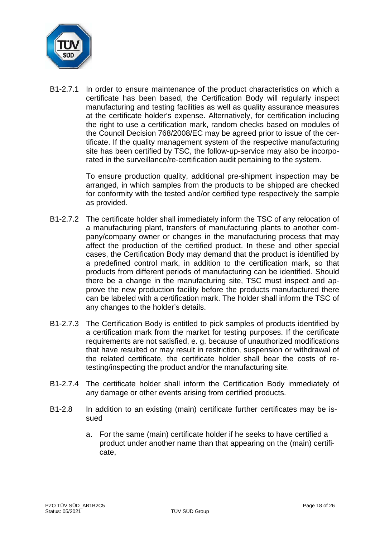

B1-2.7.1 In order to ensure maintenance of the product characteristics on which a certificate has been based, the Certification Body will regularly inspect manufacturing and testing facilities as well as quality assurance measures at the certificate holder's expense. Alternatively, for certification including the right to use a certification mark, random checks based on modules of the Council Decision 768/2008/EC may be agreed prior to issue of the certificate. If the quality management system of the respective manufacturing site has been certified by TSC, the follow-up-service may also be incorporated in the surveillance/re-certification audit pertaining to the system.

> To ensure production quality, additional pre-shipment inspection may be arranged, in which samples from the products to be shipped are checked for conformity with the tested and/or certified type respectively the sample as provided.

- B1-2.7.2 The certificate holder shall immediately inform the TSC of any relocation of a manufacturing plant, transfers of manufacturing plants to another company/company owner or changes in the manufacturing process that may affect the production of the certified product. In these and other special cases, the Certification Body may demand that the product is identified by a predefined control mark, in addition to the certification mark, so that products from different periods of manufacturing can be identified. Should there be a change in the manufacturing site, TSC must inspect and approve the new production facility before the products manufactured there can be labeled with a certification mark. The holder shall inform the TSC of any changes to the holder's details.
- B1-2.7.3 The Certification Body is entitled to pick samples of products identified by a certification mark from the market for testing purposes. If the certificate requirements are not satisfied, e. g. because of unauthorized modifications that have resulted or may result in restriction, suspension or withdrawal of the related certificate, the certificate holder shall bear the costs of retesting/inspecting the product and/or the manufacturing site.
- B1-2.7.4 The certificate holder shall inform the Certification Body immediately of any damage or other events arising from certified products.
- B1-2.8 In addition to an existing (main) certificate further certificates may be issued
	- a. For the same (main) certificate holder if he seeks to have certified a product under another name than that appearing on the (main) certificate,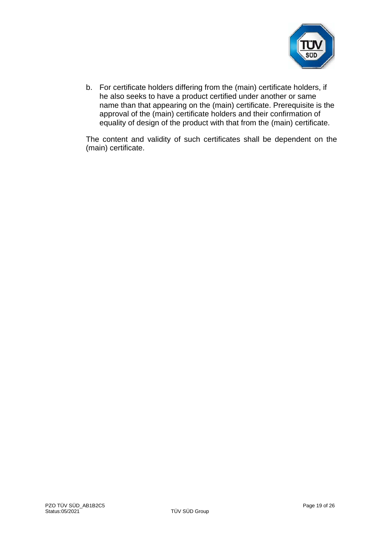

b. For certificate holders differing from the (main) certificate holders, if he also seeks to have a product certified under another or same name than that appearing on the (main) certificate. Prerequisite is the approval of the (main) certificate holders and their confirmation of equality of design of the product with that from the (main) certificate.

The content and validity of such certificates shall be dependent on the (main) certificate.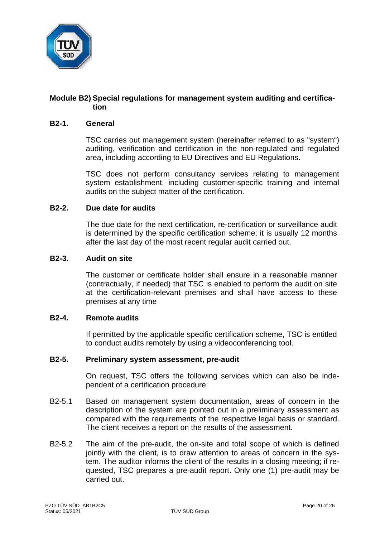

# **Module B2) Special regulations for management system auditing and certification**

## **B2-1. General**

TSC carries out management system (hereinafter referred to as "system") auditing, verification and certification in the non-regulated and regulated area, including according to EU Directives and EU Regulations.

TSC does not perform consultancy services relating to management system establishment, including customer-specific training and internal audits on the subject matter of the certification.

## **B2-2. Due date for audits**

The due date for the next certification, re-certification or surveillance audit is determined by the specific certification scheme; it is usually 12 months after the last day of the most recent regular audit carried out.

### **B2-3. Audit on site**

The customer or certificate holder shall ensure in a reasonable manner (contractually, if needed) that TSC is enabled to perform the audit on site at the certification-relevant premises and shall have access to these premises at any time

## **B2-4. Remote audits**

If permitted by the applicable specific certification scheme, TSC is entitled to conduct audits remotely by using a videoconferencing tool.

# **B2-5. Preliminary system assessment, pre-audit**

On request, TSC offers the following services which can also be independent of a certification procedure:

- B2-5.1 Based on management system documentation, areas of concern in the description of the system are pointed out in a preliminary assessment as compared with the requirements of the respective legal basis or standard. The client receives a report on the results of the assessment.
- B2-5.2 The aim of the pre-audit, the on-site and total scope of which is defined jointly with the client, is to draw attention to areas of concern in the system. The auditor informs the client of the results in a closing meeting; if requested, TSC prepares a pre-audit report. Only one (1) pre-audit may be carried out.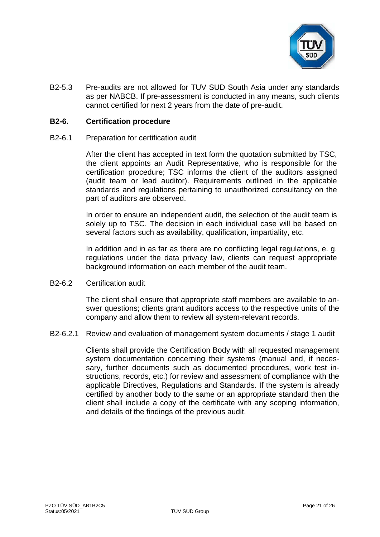

B2-5.3 Pre-audits are not allowed for TUV SUD South Asia under any standards as per NABCB. If pre-assessment is conducted in any means, such clients cannot certified for next 2 years from the date of pre-audit.

## **B2-6. Certification procedure**

B2-6.1 Preparation for certification audit

After the client has accepted in text form the quotation submitted by TSC, the client appoints an Audit Representative, who is responsible for the certification procedure; TSC informs the client of the auditors assigned (audit team or lead auditor). Requirements outlined in the applicable standards and regulations pertaining to unauthorized consultancy on the part of auditors are observed.

In order to ensure an independent audit, the selection of the audit team is solely up to TSC. The decision in each individual case will be based on several factors such as availability, qualification, impartiality, etc.

In addition and in as far as there are no conflicting legal regulations, e. g. regulations under the data privacy law, clients can request appropriate background information on each member of the audit team.

B2-6.2 Certification audit

The client shall ensure that appropriate staff members are available to answer questions; clients grant auditors access to the respective units of the company and allow them to review all system-relevant records.

B2-6.2.1 Review and evaluation of management system documents / stage 1 audit

Clients shall provide the Certification Body with all requested management system documentation concerning their systems (manual and, if necessary, further documents such as documented procedures, work test instructions, records, etc.) for review and assessment of compliance with the applicable Directives, Regulations and Standards. If the system is already certified by another body to the same or an appropriate standard then the client shall include a copy of the certificate with any scoping information, and details of the findings of the previous audit.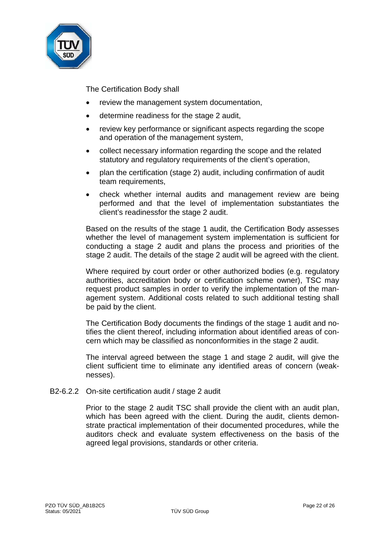

The Certification Body shall

- review the management system documentation,
- determine readiness for the stage 2 audit,
- review key performance or significant aspects regarding the scope and operation of the management system,
- collect necessary information regarding the scope and the related statutory and regulatory requirements of the client's operation,
- plan the certification (stage 2) audit, including confirmation of audit team requirements,
- check whether internal audits and management review are being performed and that the level of implementation substantiates the client's readinessfor the stage 2 audit.

Based on the results of the stage 1 audit, the Certification Body assesses whether the level of management system implementation is sufficient for conducting a stage 2 audit and plans the process and priorities of the stage 2 audit. The details of the stage 2 audit will be agreed with the client.

Where required by court order or other authorized bodies (e.g. regulatory authorities, accreditation body or certification scheme owner), TSC may request product samples in order to verify the implementation of the management system. Additional costs related to such additional testing shall be paid by the client.

The Certification Body documents the findings of the stage 1 audit and notifies the client thereof, including information about identified areas of concern which may be classified as nonconformities in the stage 2 audit.

The interval agreed between the stage 1 and stage 2 audit, will give the client sufficient time to eliminate any identified areas of concern (weaknesses).

B2-6.2.2 On-site certification audit / stage 2 audit

Prior to the stage 2 audit TSC shall provide the client with an audit plan, which has been agreed with the client. During the audit, clients demonstrate practical implementation of their documented procedures, while the auditors check and evaluate system effectiveness on the basis of the agreed legal provisions, standards or other criteria.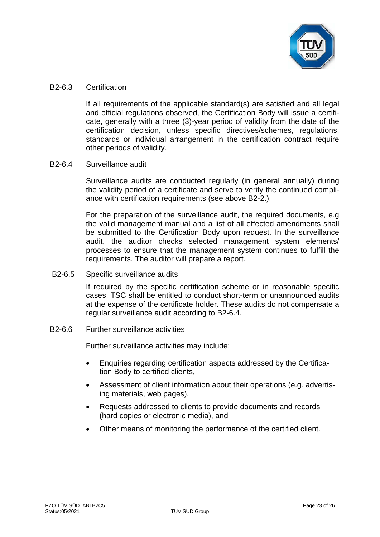

## B2-6.3 Certification

If all requirements of the applicable standard(s) are satisfied and all legal and official regulations observed, the Certification Body will issue a certificate, generally with a three (3)-year period of validity from the date of the certification decision, unless specific directives/schemes, regulations, standards or individual arrangement in the certification contract require other periods of validity.

# B2-6.4 Surveillance audit

Surveillance audits are conducted regularly (in general annually) during the validity period of a certificate and serve to verify the continued compliance with certification requirements (see above B2-2.).

For the preparation of the surveillance audit, the required documents, e.g the valid management manual and a list of all effected amendments shall be submitted to the Certification Body upon request. In the surveillance audit, the auditor checks selected management system elements/ processes to ensure that the management system continues to fulfill the requirements. The auditor will prepare a report.

B2-6.5 Specific surveillance audits

If required by the specific certification scheme or in reasonable specific cases, TSC shall be entitled to conduct short-term or unannounced audits at the expense of the certificate holder. These audits do not compensate a regular surveillance audit according to B2-6.4.

B2-6.6 Further surveillance activities

Further surveillance activities may include:

- Enquiries regarding certification aspects addressed by the Certification Body to certified clients,
- Assessment of client information about their operations (e.g. advertising materials, web pages),
- Requests addressed to clients to provide documents and records (hard copies or electronic media), and
- Other means of monitoring the performance of the certified client.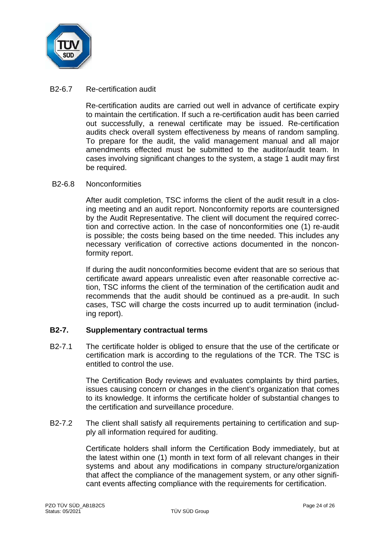

## B2-6.7 Re-certification audit

Re-certification audits are carried out well in advance of certificate expiry to maintain the certification. If such a re-certification audit has been carried out successfully, a renewal certificate may be issued. Re-certification audits check overall system effectiveness by means of random sampling. To prepare for the audit, the valid management manual and all major amendments effected must be submitted to the auditor/audit team. In cases involving significant changes to the system, a stage 1 audit may first be required.

## B2-6.8 Nonconformities

After audit completion, TSC informs the client of the audit result in a closing meeting and an audit report. Nonconformity reports are countersigned by the Audit Representative. The client will document the required correction and corrective action. In the case of nonconformities one (1) re-audit is possible; the costs being based on the time needed. This includes any necessary verification of corrective actions documented in the nonconformity report.

If during the audit nonconformities become evident that are so serious that certificate award appears unrealistic even after reasonable corrective action, TSC informs the client of the termination of the certification audit and recommends that the audit should be continued as a pre-audit. In such cases, TSC will charge the costs incurred up to audit termination (including report).

# **B2-7. Supplementary contractual terms**

B2-7.1 The certificate holder is obliged to ensure that the use of the certificate or certification mark is according to the regulations of the TCR. The TSC is entitled to control the use.

> The Certification Body reviews and evaluates complaints by third parties, issues causing concern or changes in the client's organization that comes to its knowledge. It informs the certificate holder of substantial changes to the certification and surveillance procedure.

B2-7.2 The client shall satisfy all requirements pertaining to certification and supply all information required for auditing.

> Certificate holders shall inform the Certification Body immediately, but at the latest within one (1) month in text form of all relevant changes in their systems and about any modifications in company structure/organization that affect the compliance of the management system, or any other significant events affecting compliance with the requirements for certification.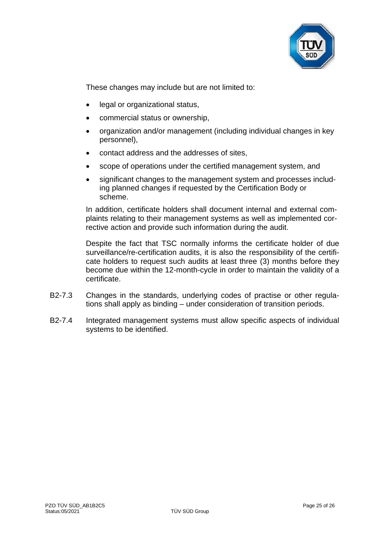

These changes may include but are not limited to:

- legal or organizational status,
- commercial status or ownership,
- organization and/or management (including individual changes in key personnel),
- contact address and the addresses of sites,
- scope of operations under the certified management system, and
- significant changes to the management system and processes including planned changes if requested by the Certification Body or scheme.

In addition, certificate holders shall document internal and external complaints relating to their management systems as well as implemented corrective action and provide such information during the audit.

Despite the fact that TSC normally informs the certificate holder of due surveillance/re-certification audits, it is also the responsibility of the certificate holders to request such audits at least three (3) months before they become due within the 12-month-cycle in order to maintain the validity of a certificate.

- B2-7.3 Changes in the standards, underlying codes of practise or other regulations shall apply as binding – under consideration of transition periods.
- B2-7.4 Integrated management systems must allow specific aspects of individual systems to be identified.